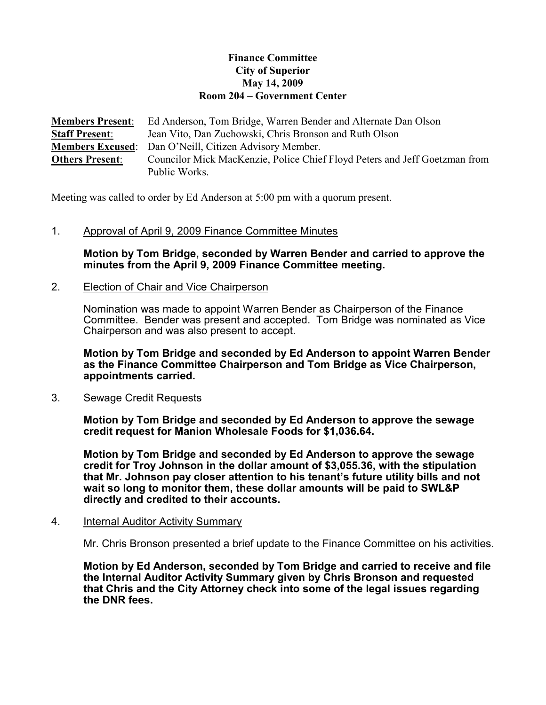# Finance Committee City of Superior May 14, 2009 Room 204 – Government Center

**Members Present:** Ed Anderson, Tom Bridge, Warren Bender and Alternate Dan Olson Staff Present: Jean Vito, Dan Zuchowski, Chris Bronson and Ruth Olson Members Excused: Dan O'Neill, Citizen Advisory Member. Others Present: Councilor Mick MacKenzie, Police Chief Floyd Peters and Jeff Goetzman from Public Works.

Meeting was called to order by Ed Anderson at 5:00 pm with a quorum present.

### 1. Approval of April 9, 2009 Finance Committee Minutes

Motion by Tom Bridge, seconded by Warren Bender and carried to approve the minutes from the April 9, 2009 Finance Committee meeting.

## 2. Election of Chair and Vice Chairperson

Nomination was made to appoint Warren Bender as Chairperson of the Finance Committee. Bender was present and accepted. Tom Bridge was nominated as Vice Chairperson and was also present to accept.

Motion by Tom Bridge and seconded by Ed Anderson to appoint Warren Bender as the Finance Committee Chairperson and Tom Bridge as Vice Chairperson, appointments carried.

#### 3. Sewage Credit Requests

Motion by Tom Bridge and seconded by Ed Anderson to approve the sewage credit request for Manion Wholesale Foods for \$1,036.64.

Motion by Tom Bridge and seconded by Ed Anderson to approve the sewage credit for Troy Johnson in the dollar amount of \$3,055.36, with the stipulation that Mr. Johnson pay closer attention to his tenant's future utility bills and not wait so long to monitor them, these dollar amounts will be paid to SWL&P directly and credited to their accounts.

#### 4. Internal Auditor Activity Summary

Mr. Chris Bronson presented a brief update to the Finance Committee on his activities.

Motion by Ed Anderson, seconded by Tom Bridge and carried to receive and file the Internal Auditor Activity Summary given by Chris Bronson and requested that Chris and the City Attorney check into some of the legal issues regarding the DNR fees.